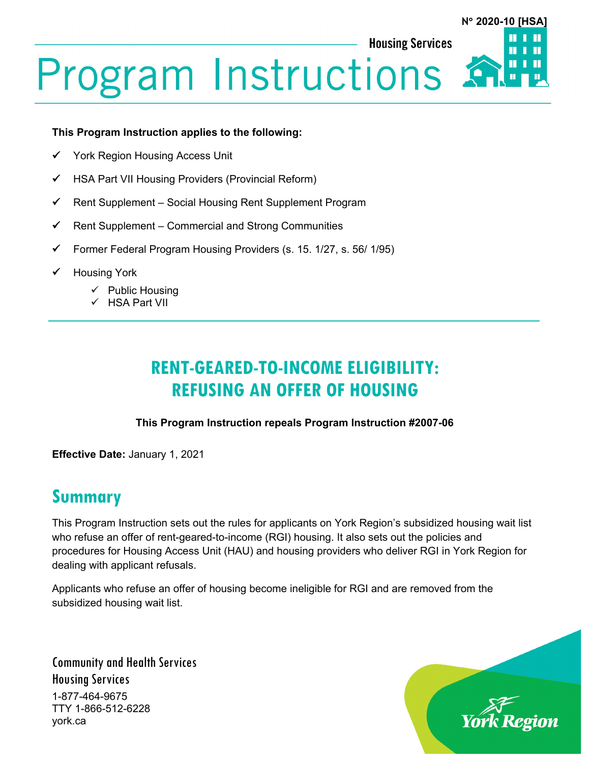# **Program Instructions**

#### **This Program Instruction applies to the following:**

- York Region Housing Access Unit
- $\checkmark$  HSA Part VII Housing Providers (Provincial Reform)
- $\checkmark$  Rent Supplement Social Housing Rent Supplement Program
- $\checkmark$  Rent Supplement Commercial and Strong Communities
- Former Federal Program Housing Providers (s. 15. 1/27, s. 56/ 1/95)
- Housing York
	- $\checkmark$  Public Housing
	- $\checkmark$  HSA Part VII

# **RENT-GEARED-TO-INCOME ELIGIBILITY: REFUSING AN OFFER OF HOUSING**

#### **This Program Instruction repeals Program Instruction #2007-06**

**Effective Date:** January 1, 2021

## **Summary**

This Program Instruction sets out the rules for applicants on York Region's subsidized housing wait list who refuse an offer of rent-geared-to-income (RGI) housing. It also sets out the policies and procedures for Housing Access Unit (HAU) and housing providers who deliver RGI in York Region for dealing with applicant refusals.

Applicants who refuse an offer of housing become ineligible for RGI and are removed from the subsidized housing wait list.

Community and Health Services Housing Services 1-877-464-9675 TTY 1-866-512-6228 york.ca



**N**° **2020-10 [HSA]**

Ш

П

**Housing Services**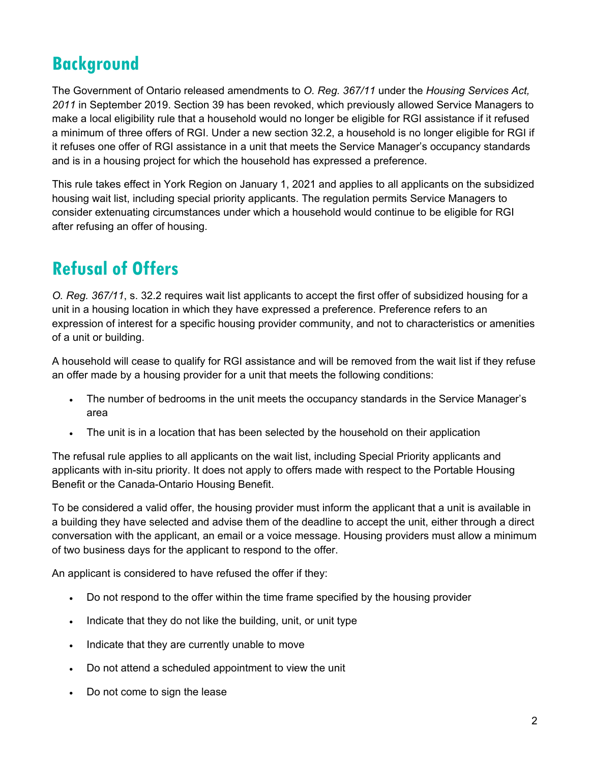# **Background**

The Government of Ontario released amendments to *O. Reg. 367/11* under the *Housing Services Act, 2011* in September 2019. Section 39 has been revoked, which previously allowed Service Managers to make a local eligibility rule that a household would no longer be eligible for RGI assistance if it refused a minimum of three offers of RGI. Under a new section 32.2, a household is no longer eligible for RGI if it refuses one offer of RGI assistance in a unit that meets the Service Manager's occupancy standards and is in a housing project for which the household has expressed a preference.

This rule takes effect in York Region on January 1, 2021 and applies to all applicants on the subsidized housing wait list, including special priority applicants. The regulation permits Service Managers to consider extenuating circumstances under which a household would continue to be eligible for RGI after refusing an offer of housing.

# **Refusal of Offers**

*O. Reg. 367/11*, s. 32.2 requires wait list applicants to accept the first offer of subsidized housing for a unit in a housing location in which they have expressed a preference. Preference refers to an expression of interest for a specific housing provider community, and not to characteristics or amenities of a unit or building.

A household will cease to qualify for RGI assistance and will be removed from the wait list if they refuse an offer made by a housing provider for a unit that meets the following conditions:

- The number of bedrooms in the unit meets the occupancy standards in the Service Manager's area
- The unit is in a location that has been selected by the household on their application

The refusal rule applies to all applicants on the wait list, including Special Priority applicants and applicants with in-situ priority. It does not apply to offers made with respect to the Portable Housing Benefit or the Canada-Ontario Housing Benefit.

To be considered a valid offer, the housing provider must inform the applicant that a unit is available in a building they have selected and advise them of the deadline to accept the unit, either through a direct conversation with the applicant, an email or a voice message. Housing providers must allow a minimum of two business days for the applicant to respond to the offer.

An applicant is considered to have refused the offer if they:

- Do not respond to the offer within the time frame specified by the housing provider
- Indicate that they do not like the building, unit, or unit type
- Indicate that they are currently unable to move
- Do not attend a scheduled appointment to view the unit
- Do not come to sign the lease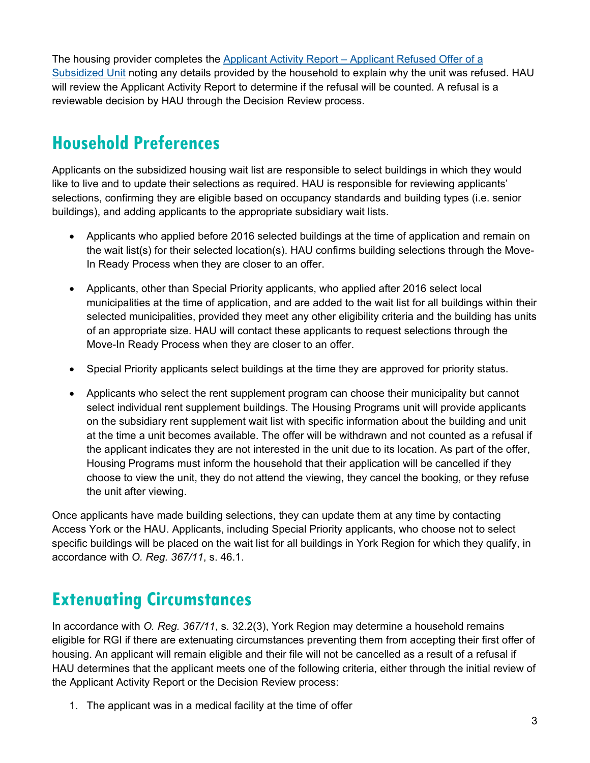The housing provider completes the Applicant Activity Report – [Applicant Refused Offer of a](https://www.york.ca/wps/wcm/connect/yorkpublic/fba6a845-c3b9-4f6a-9de1-ea1040c6147a/Applicant-Activity-Report-Applicant-Refused-Offer-of-Subsidized-Unit.docx?MOD=AJPERES&attachment=true&id=1608135581363) [Subsidized](https://www.york.ca/wps/wcm/connect/yorkpublic/fba6a845-c3b9-4f6a-9de1-ea1040c6147a/Applicant-Activity-Report-Applicant-Refused-Offer-of-Subsidized-Unit.docx?MOD=AJPERES&attachment=true&id=1608135581363) Unit noting any details provided by the household to explain why the unit was refused. HAU will review the Applicant Activity Report to determine if the refusal will be counted. A refusal is a reviewable decision by HAU through the Decision Review process.

# **Household Preferences**

Applicants on the subsidized housing wait list are responsible to select buildings in which they would like to live and to update their selections as required. HAU is responsible for reviewing applicants' selections, confirming they are eligible based on occupancy standards and building types (i.e. senior buildings), and adding applicants to the appropriate subsidiary wait lists.

- Applicants who applied before 2016 selected buildings at the time of application and remain on the wait list(s) for their selected location(s). HAU confirms building selections through the Move-In Ready Process when they are closer to an offer.
- Applicants, other than Special Priority applicants, who applied after 2016 select local municipalities at the time of application, and are added to the wait list for all buildings within their selected municipalities, provided they meet any other eligibility criteria and the building has units of an appropriate size. HAU will contact these applicants to request selections through the Move-In Ready Process when they are closer to an offer.
- Special Priority applicants select buildings at the time they are approved for priority status.
- Applicants who select the rent supplement program can choose their municipality but cannot select individual rent supplement buildings. The Housing Programs unit will provide applicants on the subsidiary rent supplement wait list with specific information about the building and unit at the time a unit becomes available. The offer will be withdrawn and not counted as a refusal if the applicant indicates they are not interested in the unit due to its location. As part of the offer, Housing Programs must inform the household that their application will be cancelled if they choose to view the unit, they do not attend the viewing, they cancel the booking, or they refuse the unit after viewing.

Once applicants have made building selections, they can update them at any time by contacting Access York or the HAU. Applicants, including Special Priority applicants, who choose not to select specific buildings will be placed on the wait list for all buildings in York Region for which they qualify, in accordance with *O. Reg. 367/11*, s. 46.1.

# **Extenuating Circumstances**

In accordance with *O. Reg. 367/11*, s. 32.2(3), York Region may determine a household remains eligible for RGI if there are extenuating circumstances preventing them from accepting their first offer of housing. An applicant will remain eligible and their file will not be cancelled as a result of a refusal if HAU determines that the applicant meets one of the following criteria, either through the initial review of the Applicant Activity Report or the Decision Review process:

1. The applicant was in a medical facility at the time of offer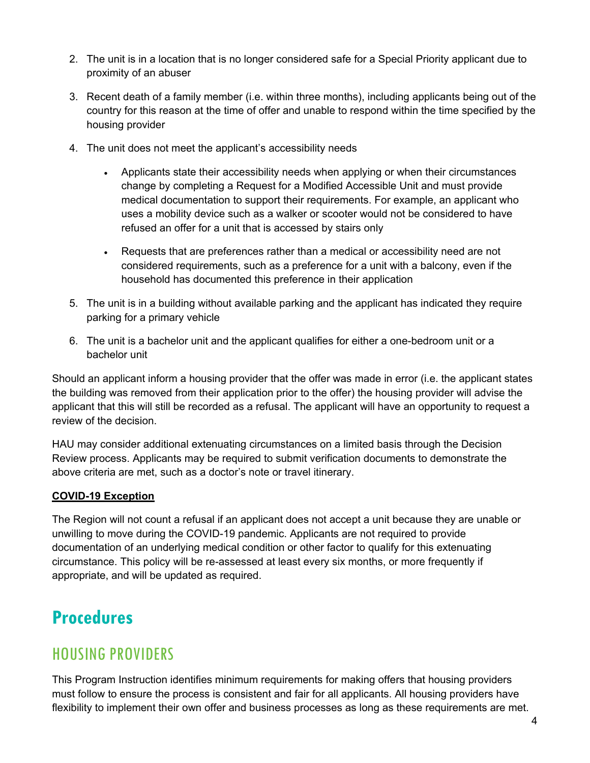- 2. The unit is in a location that is no longer considered safe for a Special Priority applicant due to proximity of an abuser
- 3. Recent death of a family member (i.e. within three months), including applicants being out of the country for this reason at the time of offer and unable to respond within the time specified by the housing provider
- 4. The unit does not meet the applicant's accessibility needs
	- Applicants state their accessibility needs when applying or when their circumstances change by completing a Request for a Modified Accessible Unit and must provide medical documentation to support their requirements. For example, an applicant who uses a mobility device such as a walker or scooter would not be considered to have refused an offer for a unit that is accessed by stairs only
	- Requests that are preferences rather than a medical or accessibility need are not considered requirements, such as a preference for a unit with a balcony, even if the household has documented this preference in their application
- 5. The unit is in a building without available parking and the applicant has indicated they require parking for a primary vehicle
- 6. The unit is a bachelor unit and the applicant qualifies for either a one-bedroom unit or a bachelor unit

Should an applicant inform a housing provider that the offer was made in error (i.e. the applicant states the building was removed from their application prior to the offer) the housing provider will advise the applicant that this will still be recorded as a refusal. The applicant will have an opportunity to request a review of the decision.

HAU may consider additional extenuating circumstances on a limited basis through the Decision Review process. Applicants may be required to submit verification documents to demonstrate the above criteria are met, such as a doctor's note or travel itinerary.

#### **COVID-19 Exception**

The Region will not count a refusal if an applicant does not accept a unit because they are unable or unwilling to move during the COVID-19 pandemic. Applicants are not required to provide documentation of an underlying medical condition or other factor to qualify for this extenuating circumstance. This policy will be re-assessed at least every six months, or more frequently if appropriate, and will be updated as required.

# **Procedures**

#### HOUSING PROVIDERS

This Program Instruction identifies minimum requirements for making offers that housing providers must follow to ensure the process is consistent and fair for all applicants. All housing providers have flexibility to implement their own offer and business processes as long as these requirements are met.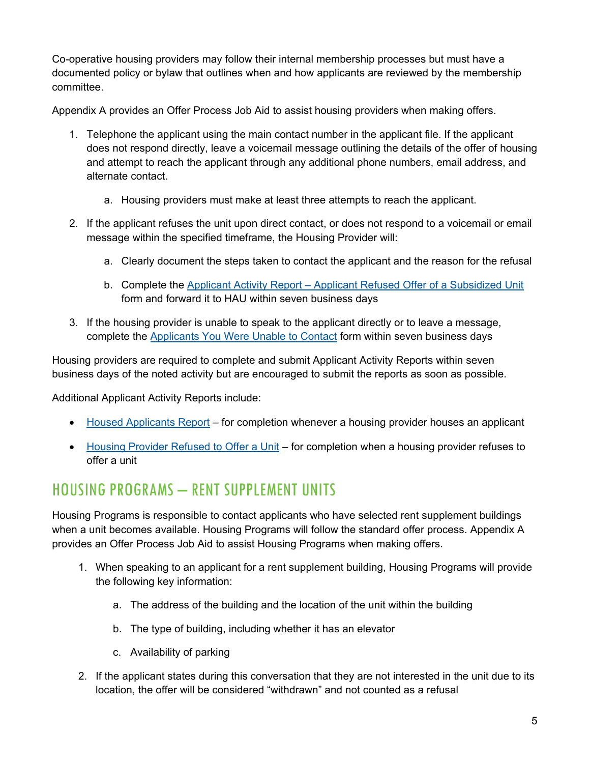Co-operative housing providers may follow their internal membership processes but must have a documented policy or bylaw that outlines when and how applicants are reviewed by the membership committee.

Appendix A provides an Offer Process Job Aid to assist housing providers when making offers.

- 1. Telephone the applicant using the main contact number in the applicant file. If the applicant does not respond directly, leave a voicemail message outlining the details of the offer of housing and attempt to reach the applicant through any additional phone numbers, email address, and alternate contact.
	- a. Housing providers must make at least three attempts to reach the applicant.
- 2. If the applicant refuses the unit upon direct contact, or does not respond to a voicemail or email message within the specified timeframe, the Housing Provider will:
	- a. Clearly document the steps taken to contact the applicant and the reason for the refusal
	- b. Complete the Applicant Activity Report [Applicant Refused Offer of a](https://www.york.ca/wps/wcm/connect/yorkpublic/fba6a845-c3b9-4f6a-9de1-ea1040c6147a/Applicant-Activity-Report-Applicant-Refused-Offer-of-Subsidized-Unit.docx?MOD=AJPERES&attachment=true&id=1608135581363) Subsidized Unit form and forward it to HAU within seven business days
- 3. If the housing provider is unable to speak to the applicant directly or to leave a message, complete the [Applicants You Were Unable to Contact](https://www.york.ca/wps/wcm/connect/yorkpublic/9b743971-1879-4c5d-a791-1313abba1194/Applicant-Activity-Report-Applicants-Unable-to-Contact.docx?MOD=AJPERES&attachment=true&id=1608135279249) form within seven business days

Housing providers are required to complete and submit Applicant Activity Reports within seven business days of the noted activity but are encouraged to submit the reports as soon as possible.

Additional Applicant Activity Reports include:

- [Housed Applicants Report](https://www.york.ca/wps/wcm/connect/yorkpublic/da4e0b7c-32ec-4762-85ed-de9233113de1/Applicant-Activity-Report-Housed-Applicants.docx?MOD=AJPERES&attachment=true&id=1608135381908) for completion whenever a housing provider houses an applicant
- [Housing Provider Refused to Offer a Unit](https://www.york.ca/wps/wcm/connect/yorkpublic/41a82b17-a5e1-4930-9a71-1f1ccb357f9a/Applicant-Activity-Report-Housing-Provider-Refused-to-Offer-Unit.docx?MOD=AJPERES&attachment=true&id=1608135863977) for completion when a housing provider refuses to offer a unit

# HOUSING PROGRAMS – RENT SUPPLEMENT UNITS

Housing Programs is responsible to contact applicants who have selected rent supplement buildings when a unit becomes available. Housing Programs will follow the standard offer process. Appendix A provides an Offer Process Job Aid to assist Housing Programs when making offers.

- 1. When speaking to an applicant for a rent supplement building, Housing Programs will provide the following key information:
	- a. The address of the building and the location of the unit within the building
	- b. The type of building, including whether it has an elevator
	- c. Availability of parking
- 2. If the applicant states during this conversation that they are not interested in the unit due to its location, the offer will be considered "withdrawn" and not counted as a refusal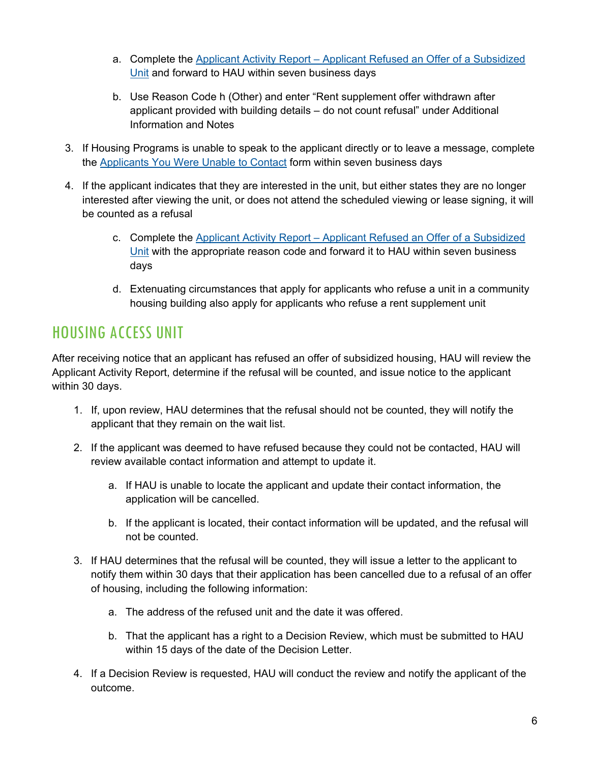- a. Complete the Applicant Activity Report [Applicant Refused an Offer of a Subsidized](https://www.york.ca/wps/wcm/connect/yorkpublic/fba6a845-c3b9-4f6a-9de1-ea1040c6147a/Applicant-Activity-Report-Applicant-Refused-Offer-of-Subsidized-Unit.docx?MOD=AJPERES&attachment=true&id=1608135581363)  [Unit](https://www.york.ca/wps/wcm/connect/yorkpublic/fba6a845-c3b9-4f6a-9de1-ea1040c6147a/Applicant-Activity-Report-Applicant-Refused-Offer-of-Subsidized-Unit.docx?MOD=AJPERES&attachment=true&id=1608135581363) and forward to HAU within seven business days
- b. Use Reason Code h (Other) and enter "Rent supplement offer withdrawn after applicant provided with building details – do not count refusal" under Additional Information and Notes
- 3. If Housing Programs is unable to speak to the applicant directly or to leave a message, complete the [Applicants You Were Unable to Contact](https://www.york.ca/wps/wcm/connect/yorkpublic/9b743971-1879-4c5d-a791-1313abba1194/Applicant-Activity-Report-Applicants-Unable-to-Contact.docx?MOD=AJPERES&attachment=true&id=1608135279249) form within seven business days
- 4. If the applicant indicates that they are interested in the unit, but either states they are no longer interested after viewing the unit, or does not attend the scheduled viewing or lease signing, it will be counted as a refusal
	- c. Complete the Applicant Activity Report [Applicant Refused an Offer of a Subsidized](https://www.york.ca/wps/wcm/connect/yorkpublic/fba6a845-c3b9-4f6a-9de1-ea1040c6147a/Applicant-Activity-Report-Applicant-Refused-Offer-of-Subsidized-Unit.docx?MOD=AJPERES&attachment=true&id=1608135581363)  [Unit](https://www.york.ca/wps/wcm/connect/yorkpublic/fba6a845-c3b9-4f6a-9de1-ea1040c6147a/Applicant-Activity-Report-Applicant-Refused-Offer-of-Subsidized-Unit.docx?MOD=AJPERES&attachment=true&id=1608135581363) with the appropriate reason code and forward it to HAU within seven business days
	- d. Extenuating circumstances that apply for applicants who refuse a unit in a community housing building also apply for applicants who refuse a rent supplement unit

## HOUSING ACCESS UNIT

After receiving notice that an applicant has refused an offer of subsidized housing, HAU will review the Applicant Activity Report, determine if the refusal will be counted, and issue notice to the applicant within 30 days.

- 1. If, upon review, HAU determines that the refusal should not be counted, they will notify the applicant that they remain on the wait list.
- 2. If the applicant was deemed to have refused because they could not be contacted, HAU will review available contact information and attempt to update it.
	- a. If HAU is unable to locate the applicant and update their contact information, the application will be cancelled.
	- b. If the applicant is located, their contact information will be updated, and the refusal will not be counted.
- 3. If HAU determines that the refusal will be counted, they will issue a letter to the applicant to notify them within 30 days that their application has been cancelled due to a refusal of an offer of housing, including the following information:
	- a. The address of the refused unit and the date it was offered.
	- b. That the applicant has a right to a Decision Review, which must be submitted to HAU within 15 days of the date of the Decision Letter.
- 4. If a Decision Review is requested, HAU will conduct the review and notify the applicant of the outcome.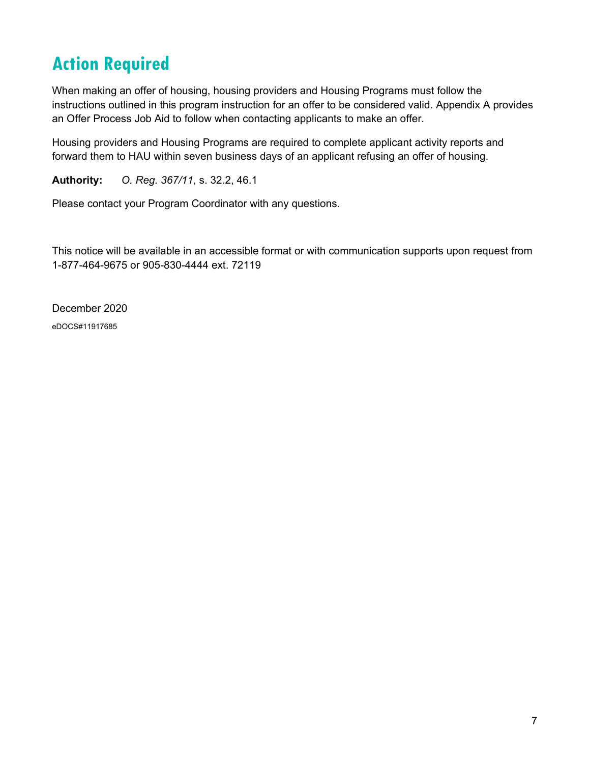# **Action Required**

When making an offer of housing, housing providers and Housing Programs must follow the instructions outlined in this program instruction for an offer to be considered valid. Appendix A provides an Offer Process Job Aid to follow when contacting applicants to make an offer.

Housing providers and Housing Programs are required to complete applicant activity reports and forward them to HAU within seven business days of an applicant refusing an offer of housing.

**Authority:** *O. Reg. 367/11*, s. 32.2, 46.1

Please contact your Program Coordinator with any questions.

This notice will be available in an accessible format or with communication supports upon request from 1-877-464-9675 or 905-830-4444 ext. 72119

December 2020 eDOCS#11917685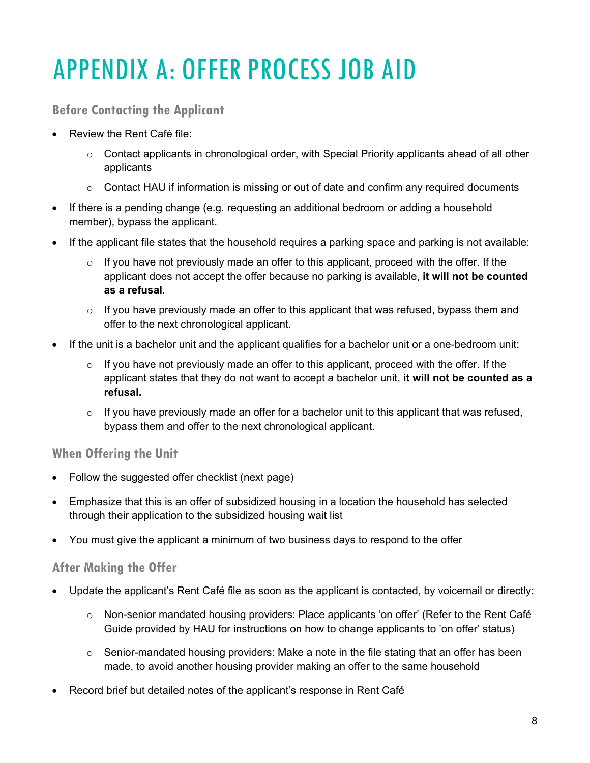# APPENDIX A: OFFER PROCESS JOB AID

#### **Before Contacting the Applicant**

- Review the Rent Café file:
	- $\circ$  Contact applicants in chronological order, with Special Priority applicants ahead of all other applicants
	- $\circ$  Contact HAU if information is missing or out of date and confirm any required documents
- If there is a pending change (e.g. requesting an additional bedroom or adding a household member), bypass the applicant.
- If the applicant file states that the household requires a parking space and parking is not available:
	- $\circ$  If you have not previously made an offer to this applicant, proceed with the offer. If the applicant does not accept the offer because no parking is available, **it will not be counted as a refusal**.
	- $\circ$  If you have previously made an offer to this applicant that was refused, bypass them and offer to the next chronological applicant.
- If the unit is a bachelor unit and the applicant qualifies for a bachelor unit or a one-bedroom unit:
	- $\circ$  If you have not previously made an offer to this applicant, proceed with the offer. If the applicant states that they do not want to accept a bachelor unit, **it will not be counted as a refusal.**
	- $\circ$  If you have previously made an offer for a bachelor unit to this applicant that was refused, bypass them and offer to the next chronological applicant.

#### **When Offering the Unit**

- Follow the suggested offer checklist (next page)
- Emphasize that this is an offer of subsidized housing in a location the household has selected through their application to the subsidized housing wait list
- You must give the applicant a minimum of two business days to respond to the offer

#### **After Making the Offer**

- Update the applicant's Rent Café file as soon as the applicant is contacted, by voicemail or directly:
	- o Non-senior mandated housing providers: Place applicants 'on offer' (Refer to the Rent Café Guide provided by HAU for instructions on how to change applicants to 'on offer' status)
	- $\circ$  Senior-mandated housing providers: Make a note in the file stating that an offer has been made, to avoid another housing provider making an offer to the same household
- Record brief but detailed notes of the applicant's response in Rent Café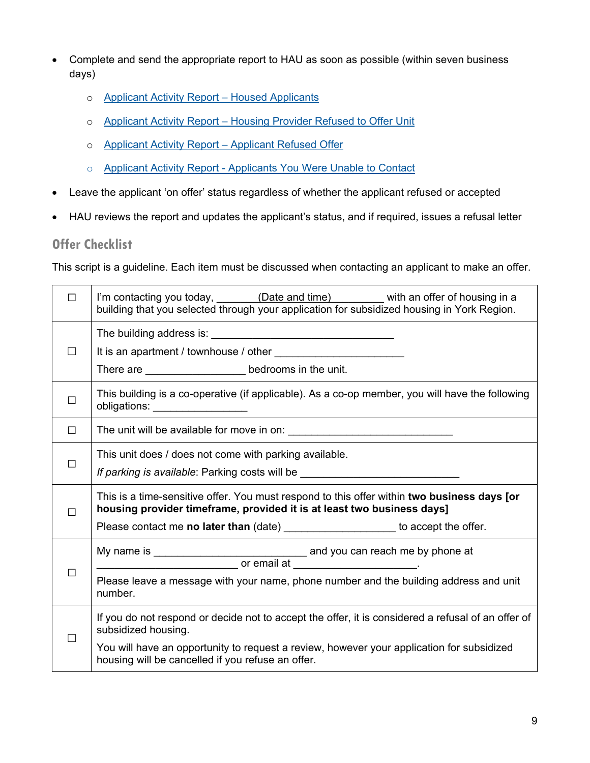- Complete and send the appropriate report to HAU as soon as possible (within seven business days)
	- o [Applicant Activity Report –](https://www.york.ca/wps/wcm/connect/yorkpublic/da4e0b7c-32ec-4762-85ed-de9233113de1/Applicant-Activity-Report-Housed-Applicants.docx?MOD=AJPERES&attachment=true&id=1608135381908) Housed Applicants
	- o Applicant Activity Report [Housing Provider Refused to Offer Unit](https://www.york.ca/wps/wcm/connect/yorkpublic/41a82b17-a5e1-4930-9a71-1f1ccb357f9a/Applicant-Activity-Report-Housing-Provider-Refused-to-Offer-Unit.docx?MOD=AJPERES&attachment=true&id=1608135863977)
	- o [Applicant Activity Report –](https://www.york.ca/wps/wcm/connect/yorkpublic/fba6a845-c3b9-4f6a-9de1-ea1040c6147a/Applicant-Activity-Report-Applicant-Refused-Offer-of-Subsidized-Unit.docx?MOD=AJPERES&attachment=true&id=1608135581363) Applicant Refused Offer
	- o Applicant Activity Report [Applicants You Were Unable to Contact](https://www.york.ca/wps/wcm/connect/yorkpublic/9b743971-1879-4c5d-a791-1313abba1194/Applicant-Activity-Report-Applicants-Unable-to-Contact.docx?MOD=AJPERES&attachment=true&id=1608135279249)
- Leave the applicant 'on offer' status regardless of whether the applicant refused or accepted
- HAU reviews the report and updates the applicant's status, and if required, issues a refusal letter

#### **Offer Checklist**

This script is a guideline. Each item must be discussed when contacting an applicant to make an offer.

| П      | I'm contacting you today, ________(Date and time) _______ with an offer of housing in a<br>building that you selected through your application for subsidized housing in York Region.                                                                                       |
|--------|-----------------------------------------------------------------------------------------------------------------------------------------------------------------------------------------------------------------------------------------------------------------------------|
|        | There are _______________________ bedrooms in the unit.                                                                                                                                                                                                                     |
| $\Box$ | This building is a co-operative (if applicable). As a co-op member, you will have the following<br>obligations: _________________                                                                                                                                           |
| $\Box$ |                                                                                                                                                                                                                                                                             |
| П      | This unit does / does not come with parking available.<br>If parking is available: Parking costs will be _________________________________                                                                                                                                  |
| П      | This is a time-sensitive offer. You must respond to this offer within two business days [or<br>housing provider timeframe, provided it is at least two business days]<br>Please contact me no later than (date) _____________________ to accept the offer.                  |
|        | $\frac{1}{2}$ or email at $\frac{1}{2}$ or email at $\frac{1}{2}$ .<br>Please leave a message with your name, phone number and the building address and unit<br>number.                                                                                                     |
|        | If you do not respond or decide not to accept the offer, it is considered a refusal of an offer of<br>subsidized housing.<br>You will have an opportunity to request a review, however your application for subsidized<br>housing will be cancelled if you refuse an offer. |